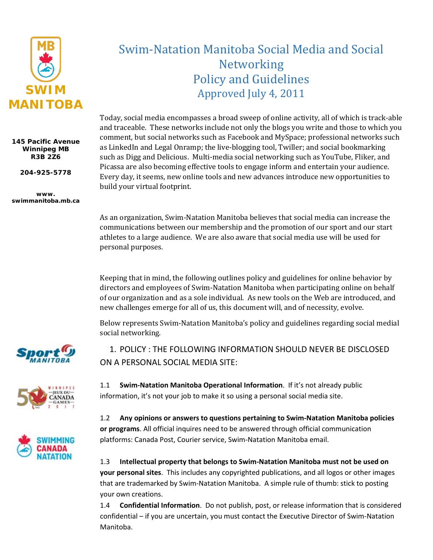

#### **145 Pacific Avenue Winnipeg MB R3B 2Z6**

**204-925-5778**

**www. swimmanitoba.mb.ca**

# Swim-Natation Manitoba Social Media and Social Networking Policy and Guidelines Approved July 4, 2011

Today, social media encompasses a broad sweep of online activity, all of which is track-able and traceable. These networks include not only the blogs you write and those to which you comment, but social networks such as Facebook and MySpace; professional networks such as LinkedIn and Legal Onramp; the live-blogging tool, Twiller; and social bookmarking such as Digg and Delicious. Multi-media social networking such as YouTube, Fliker, and Picassa are also becoming effective tools to engage inform and entertain your audience. Every day, it seems, new online tools and new advances introduce new opportunities to build your virtual footprint.

As an organization, Swim-Natation Manitoba believes that social media can increase the communications between our membership and the promotion of our sport and our start athletes to a large audience. We are also aware that social media use will be used for personal purposes.

Keeping that in mind, the following outlines policy and guidelines for online behavior by directors and employees of Swim-Natation Manitoba when participating online on behalf of our organization and as a sole individual. As new tools on the Web are introduced, and new challenges emerge for all of us, this document will, and of necessity, evolve.

Below represents Swim-Natation Manitoba's policy and guidelines regarding social medial social networking.







1. POLICY : THE FOLLOWING INFORMATION SHOULD NEVER BE DISCLOSED ON A PERSONAL SOCIAL MEDIA SITE:

1.1 **Swim-Natation Manitoba Operational Information**. If it's not already public information, it's not your job to make it so using a personal social media site.

1.2 **Any opinions or answers to questions pertaining to Swim-Natation Manitoba policies or programs**. All official inquires need to be answered through official communication platforms: Canada Post, Courier service, Swim-Natation Manitoba email.

1.3 **Intellectual property that belongs to Swim-Natation Manitoba must not be used on your personal sites**. This includes any copyrighted publications, and all logos or other images that are trademarked by Swim-Natation Manitoba. A simple rule of thumb: stick to posting your own creations.

1.4 **Confidential Information**. Do not publish, post, or release information that is considered confidential – if you are uncertain, you must contact the Executive Director of Swim-Natation Manitoba.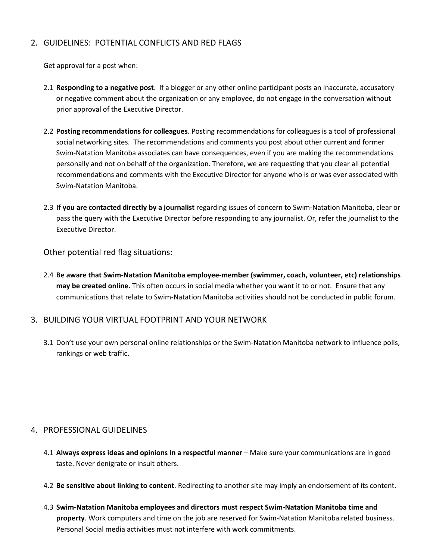## 2. GUIDELINES: POTENTIAL CONFLICTS AND RED FLAGS

Get approval for a post when:

- 2.1 **Responding to a negative post**. If a blogger or any other online participant posts an inaccurate, accusatory or negative comment about the organization or any employee, do not engage in the conversation without prior approval of the Executive Director.
- 2.2 **Posting recommendations for colleagues**. Posting recommendations for colleagues is a tool of professional social networking sites. The recommendations and comments you post about other current and former Swim-Natation Manitoba associates can have consequences, even if you are making the recommendations personally and not on behalf of the organization. Therefore, we are requesting that you clear all potential recommendations and comments with the Executive Director for anyone who is or was ever associated with Swim-Natation Manitoba.
- 2.3 **If you are contacted directly by a journalist** regarding issues of concern to Swim-Natation Manitoba, clear or pass the query with the Executive Director before responding to any journalist. Or, refer the journalist to the Executive Director.

Other potential red flag situations:

2.4 **Be aware that Swim-Natation Manitoba employee-member (swimmer, coach, volunteer, etc) relationships may be created online.** This often occurs in social media whether you want it to or not. Ensure that any communications that relate to Swim-Natation Manitoba activities should not be conducted in public forum.

## 3. BUILDING YOUR VIRTUAL FOOTPRINT AND YOUR NETWORK

3.1 Don't use your own personal online relationships or the Swim-Natation Manitoba network to influence polls, rankings or web traffic.

## 4. PROFESSIONAL GUIDELINES

- 4.1 **Always express ideas and opinions in a respectful manner** Make sure your communications are in good taste. Never denigrate or insult others.
- 4.2 **Be sensitive about linking to content**. Redirecting to another site may imply an endorsement of its content.
- 4.3 **Swim-Natation Manitoba employees and directors must respect Swim-Natation Manitoba time and property**. Work computers and time on the job are reserved for Swim-Natation Manitoba related business. Personal Social media activities must not interfere with work commitments.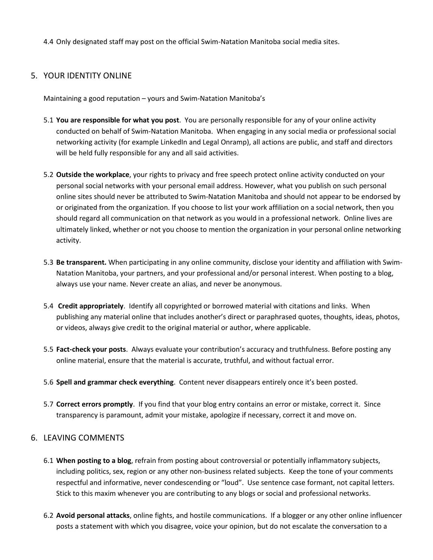4.4 Only designated staff may post on the official Swim-Natation Manitoba social media sites.

## 5. YOUR IDENTITY ONLINE

Maintaining a good reputation – yours and Swim-Natation Manitoba's

- 5.1 **You are responsible for what you post**. You are personally responsible for any of your online activity conducted on behalf of Swim-Natation Manitoba. When engaging in any social media or professional social networking activity (for example LinkedIn and Legal Onramp), all actions are public, and staff and directors will be held fully responsible for any and all said activities.
- 5.2 **Outside the workplace**, your rights to privacy and free speech protect online activity conducted on your personal social networks with your personal email address. However, what you publish on such personal online sites should never be attributed to Swim-Natation Manitoba and should not appear to be endorsed by or originated from the organization. If you choose to list your work affiliation on a social network, then you should regard all communication on that network as you would in a professional network. Online lives are ultimately linked, whether or not you choose to mention the organization in your personal online networking activity.
- 5.3 **Be transparent.** When participating in any online community, disclose your identity and affiliation with Swim-Natation Manitoba, your partners, and your professional and/or personal interest. When posting to a blog, always use your name. Never create an alias, and never be anonymous.
- 5.4 **Credit appropriately**. Identify all copyrighted or borrowed material with citations and links. When publishing any material online that includes another's direct or paraphrased quotes, thoughts, ideas, photos, or videos, always give credit to the original material or author, where applicable.
- 5.5 **Fact-check your posts**. Always evaluate your contribution's accuracy and truthfulness. Before posting any online material, ensure that the material is accurate, truthful, and without factual error.
- 5.6 **Spell and grammar check everything**. Content never disappears entirely once it's been posted.
- 5.7 **Correct errors promptly**. If you find that your blog entry contains an error or mistake, correct it. Since transparency is paramount, admit your mistake, apologize if necessary, correct it and move on.

#### 6. LEAVING COMMENTS

- 6.1 **When posting to a blog**, refrain from posting about controversial or potentially inflammatory subjects, including politics, sex, region or any other non-business related subjects. Keep the tone of your comments respectful and informative, never condescending or "loud". Use sentence case formant, not capital letters. Stick to this maxim whenever you are contributing to any blogs or social and professional networks.
- 6.2 **Avoid personal attacks**, online fights, and hostile communications. If a blogger or any other online influencer posts a statement with which you disagree, voice your opinion, but do not escalate the conversation to a